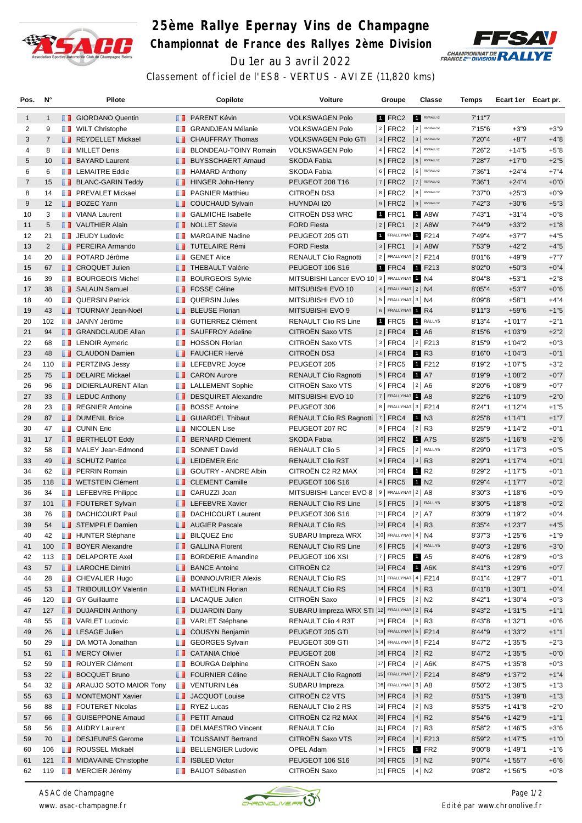

## **25ème Rallye Epernay Vins de Champagne Championnat de France des Rallyes 2ème Division** Du 1er au 3 avril 2022



Classement officiel de l'ES8 - VERTUS - AVIZE (11,820 kms)

| Pos.           | N°             | <b>Pilote</b>                           |                                                                                                                       | Copilote                                          | <b>Voiture</b>                                     | Groupe                     | Classe                  | Temps            | Ecart 1er Ecart pr.     |                  |
|----------------|----------------|-----------------------------------------|-----------------------------------------------------------------------------------------------------------------------|---------------------------------------------------|----------------------------------------------------|----------------------------|-------------------------|------------------|-------------------------|------------------|
| 1              | $\mathbf{1}$   | <b>B</b> GIORDANO Quentin               |                                                                                                                       | <b>FRARENT Kévin</b>                              | <b>VOLKSWAGEN Polo</b>                             | 1 FRC2                     | R5/RALLY2               | 7'11''7          |                         |                  |
| 2              | 9              | <b>WILT Christophe</b>                  |                                                                                                                       | <b>B</b> GRANDJEAN Mélanie                        | <b>VOLKSWAGEN Polo</b>                             | $ 2 $ FRC2                 | $2$ R5/RALLY2           | 7'15"6           | $+3"9$                  | $+3"9$           |
| 3              | $\overline{7}$ | REYDELLET Mickael                       | ш                                                                                                                     | <b>CHAUFFRAY Thomas</b>                           | <b>VOLKSWAGEN Polo GTI</b>                         | $3$ FRC2                   | 3 R5/RALLY2             | 7'20"4           | $+8"7$                  | $+4"8$           |
| 4              | 8              | <b>NILLET</b> Denis                     | m                                                                                                                     | BLONDEAU-TOINY Romain                             | <b>VOLKSWAGEN Polo</b>                             | 4 FRC2                     | $4$ R5/RALLY2           | 7'26"2           | $+14"5$                 | $+5"8$           |
| 5              | 10             | <b>BAYARD Laurent</b>                   | <b>II</b>                                                                                                             | <b>BUYSSCHAERT Arnaud</b>                         | <b>SKODA Fabia</b>                                 | $ 5 $ FRC2                 | 5 R5/RALLY2             | 7'28"7           | $+17"0$                 | $+2"5$           |
| 6              | 6              | <b>EXECUTE Eddie</b>                    |                                                                                                                       | $\blacksquare$ HAMARD Anthony                     | SKODA Fabia                                        | $6$ FRC2                   | 6 RS/RALLY2             | 7'36"1           | $+24"4$                 | $+7"4$           |
| $\overline{7}$ | 15             | <b>BLANC-GARIN Teddy</b>                |                                                                                                                       | <b>T</b> HINGER John-Henry                        | PEUGEOT 208 T16                                    | $ 7 $ FRC2 $ 7 $ R5/RALLY2 |                         | 7'36"1           | $+24"4$                 | $+0"0$           |
| 8              | 14             | <b>FREVALET Mickael</b>                 | <b>A 10</b>                                                                                                           | <b>PAGNIER Matthieu</b>                           | CITROËN DS3                                        | $8$ FRC2                   | 8 R5/RALLY2             | 7'37"0           | $+25"3$                 | $+0"9$           |
| 9              | 12             | <b>BOZEC Yann</b>                       | ш                                                                                                                     | <b>COUCHAUD Sylvain</b>                           | HUYNDAI I20                                        | $ 9 $ FRC2                 | $9$ R5/RALLY2           | 7'42"3           | $+30"6$                 | $+5"3$           |
| 10             | 3              | <b>T</b> VIANA Laurent                  | m                                                                                                                     | <b>GALMICHE Isabelle</b>                          | CITROËN DS3 WRC                                    | 1 FRC1                     | 1 A8W                   | 7'43"1           | $+31"4$                 | $+0"8$           |
| 11             | 5              | VAUTHIER Alain                          |                                                                                                                       | <b>NOLLET</b> Stevie                              | <b>FORD Fiesta</b>                                 | 2   FRC1                   | $ 2 $ A8W               | 7'44"9           | $+33"2$                 | $+1"8$           |
| 12             | 21             | <b>JEUDY Ludovic</b>                    | ш                                                                                                                     | <b>MARGAINE Nadine</b>                            | PEUGEOT 205 GTI                                    | 1 FRALLYNAT 1 F214         |                         | 7'49"4           | $+37"7$                 | $+4"5$           |
| 13             | 2              | <b>FEREIRA Armando</b>                  |                                                                                                                       | <b>TUTELAIRE Rémi</b>                             | <b>FORD Fiesta</b>                                 | $ 3 $ FRC1 $ 3 $ A8W       |                         | 7'53"9           | $+42"2$                 | $+4"5$           |
| 14             | 20             | <b>DE POTARD Jérôme</b>                 |                                                                                                                       | <b>B</b> GENET Alice                              | <b>RENAULT Clio Ragnotti</b>                       | $ 2 $ FRALLYNAT $ 2 $ F214 |                         | 8'01"6           | $+49"9$                 | $+7"7$           |
| 15             | 67             | <b>T</b> CROQUET Julien                 |                                                                                                                       | <b>THEBAULT Valérie</b>                           | <b>PEUGEOT 106 S16</b>                             | 1 FRC4                     | <b>1</b> F213           | 8'02"0           | $+50"3$                 | $+0"4$           |
| 16             | 39             | <b>BOURGEOIS Michel</b>                 | ш                                                                                                                     | <b>BOURGEOIS Sylvie</b>                           | MITSUBISHI Lancer EVO 10   3   FRALLYNAT 1 N4      |                            |                         | 8'04"8           | $+53"1$                 | $+2"8$           |
| 17             | 38             | <b>SALAUN Samuel</b>                    |                                                                                                                       | <b>FOSSE Céline</b>                               | MITSUBISHI EVO 10                                  | $ 4 $ FRALLYNAT $ 2 $ N4   |                         | 8'05"4           | $+53"7$                 | $+0"6$           |
| 18             | 40             | <b>QUERSIN Patrick</b>                  | w                                                                                                                     | <b>QUERSIN Jules</b>                              | MITSUBISHI EVO 10                                  | $5$ FRALLYNAT 3 N4         |                         | 8'09"8           | $+58"1$                 | $+4"4$           |
| 19             | 43             | <b>TOURNAY Jean-Noël</b>                | ш                                                                                                                     | <b>BLEUSE Florian</b>                             | MITSUBISHI EVO 9                                   | $6$ FRALLYNAT $1$ R4       |                         | 8'11''3          | $+59"6$                 | $+1"5$           |
| 20             | 102            | <b>JANNY Jérôme</b>                     | <b>THE R</b>                                                                                                          | <b>GUTIERREZ Clément</b>                          | <b>RENAULT Clio RS Line</b>                        | 1 FRC5 1 RALLY5            |                         | 8'13"4           | $+1'01"7$               | $+2"1$           |
| 21             | 94             | <b>B</b> GRANDCLAUDE Allan              | <b>II</b>                                                                                                             | <b>SAUFFROY Adeline</b>                           | CITROËN Saxo VTS                                   | $ 2 $ FRC4                 | <b>1</b> A6             | 8'15"6           | $+1'03''9$              | $+2"2$           |
| 22             | 68             | <b>EXAMPLE LENOIR Aymeric</b>           | ш                                                                                                                     | <b>HOSSON Florian</b>                             | CITROËN Saxo VTS                                   | $3$ FRC4                   | $ 2 $ F213              | 8'15"9           | $+1'04"2$               | $+0"3$           |
| 23             | 48             | <b>I</b> CLAUDON Damien                 |                                                                                                                       | <b>FAUCHER Hervé</b>                              | CITROËN DS3                                        | 4   FRC4                   | <b>1</b> R3             | 8'16"0           | $+1'04"3$               | $+0"1$           |
| 24             | 110            | <b>FRITZING Jessy</b>                   |                                                                                                                       | <b>LEFEBVRE</b> Joyce                             | PEUGEOT 205                                        | $ 2 $ FRC5                 | 1 F212                  | 8'19"2           | $+1'07"5$               | $+3"2$           |
| 25<br>26       | 75<br>96       | DELAIRE Mickael                         |                                                                                                                       | <b>B</b> CARON Aurore                             | <b>RENAULT Clio Ragnotti</b><br>CITROËN Saxo VTS   | $ 5 $ FRC4<br>$6$ FRC4     | <b>1</b> A7             | 8'19"9           | $+1'08"2$               | $+0"7$<br>$+0"7$ |
|                |                | DIDIERLAURENT Allan                     | ш                                                                                                                     | <b>EXECUTEMENT Sophie</b>                         |                                                    | 7 FRALLYNAT 1 A8           | 2 A6                    | 8'20"6           | $+1'08"9$               | $+2"0$           |
| 27<br>28       | 33             | $\Box$ LEDUC Anthony<br>REGNIER Antoine |                                                                                                                       | <b>DESQUIRET Alexandre</b>                        | MITSUBISHI EVO 10                                  | 8   FRALLYNAT 3   F214     |                         | 8'22"6           | $+1'10''9$              |                  |
| 29             | 23<br>87       | <b>DUMENIL Brice</b>                    | w                                                                                                                     | <b>BOSSE Antoine</b><br><b>B</b> GUIARDEL Thibaut | PEUGEOT 306<br>RENAULT Clio RS Ragnotti   7   FRC4 |                            | <b>1</b> N3             | 8'24"1<br>8'25"8 | $+1'12''4$<br>$+1'14"1$ | $+1"5$<br>$+1"7$ |
| 30             | 47             | <b>B</b> CUNIN Eric                     |                                                                                                                       | <b>NICOLEN Lise</b>                               | PEUGEOT 207 RC                                     | $ 8 $ FRC4                 | $ 2 $ R3                | 8'25"9           | $+1'14"2$               | $+0"1$           |
| 31             | 17             | <b>BERTHELOT Eddy</b>                   | . .                                                                                                                   | <b>BERNARD Clément</b>                            | <b>SKODA Fabia</b>                                 | 10 FRC2                    | <b>1</b> A7S            | 8'28"5           | $+1'16"8$               | $+2"6$           |
| 32             | 58             | <b>NALEY Jean-Edmond</b>                | m                                                                                                                     | <b>SONNET David</b>                               | <b>RENAULT Clio 5</b>                              | $3$ FRC5                   | 2 RALLY5                | 8'29"0           | $+1'17''3$              | $+0"5$           |
| 33             | 49             | SCHUTZ Patrice                          | ш                                                                                                                     | <b>LEIDEMER Eric</b>                              | <b>RENAULT Clio R3T</b>                            | $ 9 $ FRC4                 | 3 R3                    | 8'29"1           | $+1'17''4$              | $+0"1$           |
| 34             | 62             | <b>FRAIN Romain</b>                     | <b>THE R</b>                                                                                                          | <b>GOUTRY - ANDRE Albin</b>                       | CITROËN C2 R2 MAX                                  | $ 10 $ FRC4                | 1 R <sub>2</sub>        | 8'29"2           | $+1'17"5$               | $+0"1$           |
| 35             | 118            | <b>T</b> WETSTEIN Clément               | ш                                                                                                                     | <b>CLEMENT Camille</b>                            | <b>PEUGEOT 106 S16</b>                             | 4 FRC5                     | <b>1</b> N <sub>2</sub> | 8'29"4           | $+1'17"7$               | $+0"2$           |
| 36             | 34             | <b>Example 2</b> LEFEBVRE Philippe      |                                                                                                                       | <b>CARUZZI Joan</b>                               | MITSUBISHI Lancer EVO 8   9   FRALLYNAT 2   A8     |                            |                         | 8'30"3           | $+1'18'6$               | $+0"9$           |
| 37             | 101            | <b>FOUTERET Sylvain</b>                 |                                                                                                                       | <b>LEFEBVRE Xavier</b>                            | <b>RENAULT Clio RS Line</b>                        | $ 5 $ FRC5                 | 3 RALLY5                | 8'30"5           | $+1'18"8$               | $+0"2$           |
| 38             | 76             | <b>DACHICOURT Paul</b>                  | ш                                                                                                                     | <b>DACHICOURT Laurent</b>                         | <b>PEUGEOT 306 S16</b>                             | $ 11 $ FRC4                | $2$ A7                  | 8'30"9           | +1'19"2                 | $+0"4$           |
| 39             | 54             | <b>STEMPFLE Damien</b>                  |                                                                                                                       | <b>N</b> AUGIER Pascale                           | <b>RENAULT Clio RS</b>                             | $ 12 $ FRC4 $ 4 $ R3       |                         | 8'35"4           | $+1'23''7$              | $+4"5$           |
| 40             | 42             | <b>T</b> HUNTER Stéphane                |                                                                                                                       | <b>BILQUEZ Eric</b>                               | SUBARU Impreza WRX                                 | 10 FRALLYNAT 4   N4        |                         | 8'37"3           | +1'25"6                 | $+1"9$           |
| 41             | 100            | <b>BOYER Alexandre</b>                  | <b>A</b>                                                                                                              | <b>GALLINA Florent</b>                            | <b>RENAULT Clio RS Line</b>                        | $ 6 $ FRC5 $ 4 $ RALLY5    |                         | 8'40"3           | $+1'28'6$               | $+3"0$           |
| 42             | 113            | DELAPORTE Axel                          | w                                                                                                                     | <b>BORDERIE Amandine</b>                          | PEUGEOT 106 XSI                                    | $ 7 $ FRC5 1 A5            |                         | 8'40"6           | $+1'28''9$              | $+0"3$           |
| 43             | 57             | <b>LAROCHE Dimitri</b>                  | ш                                                                                                                     | <b>BANCE Antoine</b>                              | CITROËN C2                                         | 13 FRC4                    | $1$ A6K                 | 8'41"3           | $+1'29''6$              | $+0"7$           |
| 44             | 28             | <b>T</b> CHEVALIER Hugo                 | ш                                                                                                                     | <b>BONNOUVRIER Alexis</b>                         | RENAULT Clio RS                                    | 11 FRALLYNAT 4   F214      |                         | 8'41"4           | +1'29"7                 | $+0"1$           |
| 45             | 53             | <b>TRIBOUILLOY Valentin</b>             | ш                                                                                                                     | <b>MATHELIN Florian</b>                           | <b>RENAULT Clio RS</b>                             | $ 14 $ FRC4 $ 5 $ R3       |                         | 8'41"8           | $+1'30"1$               | $+0"4$           |
| 46             | 120            | <b>B</b> GY Guillaume                   |                                                                                                                       | <b>LE</b> LACAQUE Julien                          | CITROËN Saxo                                       | $ 8 $ FRC5 $ 2 $ N2        |                         | 8'42"1           | $+1'30''4$              | $+0"3$           |
| 47             | 127            | <b>DUJARDIN Anthony</b>                 |                                                                                                                       | <b>DUJARDIN Dany</b>                              | SUBARU Impreza WRX STI  12 FRALLYNAT 2   R4        |                            |                         | 8'43"2           | $+1'31''5$              | $+1"1$           |
| 48             | 55             | <b>T</b> VARLET Ludovic                 |                                                                                                                       | VARLET Stéphane                                   | RENAULT Clio 4 R3T                                 | $ 15 $ FRC4 $ 6 $ R3       |                         | 8'43"8           | $+1'32"1$               | $+0"6$           |
| 49             | 26             | <b>LESAGE Julien</b>                    | ш                                                                                                                     | <b>COUSYN Benjamin</b>                            | PEUGEOT 205 GTI                                    | 13 FRALLYNAT 5   F214      |                         | 8'44"9           | $+1'33''2$              | $+1"1$           |
| 50             | 29             | <b>DA MOTA Jonathan</b>                 | ш                                                                                                                     | <b>GEORGES Sylvain</b>                            | PEUGEOT 309 GTI                                    | 14 FRALLYNAT 6   F214      |                         | 8'47"2           | $+1'35"5$               | $+2"3$           |
| 51             | 61             | MERCY Olivier                           |                                                                                                                       | <b>BECATANIA Chloé</b>                            | PEUGEOT 208                                        | $ 16 $ FRC4 $ 2 $ R2       |                         | 8'47"2           | $+1'35"5$               | $+0"0$           |
| 52             | 59             | ROUYER Clément                          | ш                                                                                                                     | <b>BOURGA Delphine</b>                            | CITROËN Saxo                                       | 17 FRC4   2   A6K          |                         | 8'47"5           | $+1'35"8$               | $+0"3$           |
| 53             | 22             | <b>BOCQUET Bruno</b>                    |                                                                                                                       | <b>FOURNIER Céline</b>                            | <b>RENAULT Clio Ragnotti</b>                       | 15 FRALLYNAT 7   F214      |                         | 8'48"9           | $+1'37"2$               | $+1"4$           |
| 54             | 32             | <b>ARAUJO SOTO MAIOR Tony</b>           |                                                                                                                       | <b>TE</b> VENTURIN Léa                            | SUBARU Impreza                                     | 16 FRALLYNAT 3   A8        |                         | 8'50"2           | $+1'38"5$               | $+1"3$           |
| 55             | 63             | MONTEMONT Xavier                        |                                                                                                                       | <b>JACQUOT Louise</b>                             | CITROËN C2 VTS                                     | 18 FRC4 3 R2               |                         | 8'51"5           | $+1'39"8$               | $+1"3$           |
| 56             | 88             | <b>FOUTERET Nicolas</b>                 | <b>The Contract of the Contract of the Contract of the Contract of the Contract of the Contract of the Contract o</b> | <b>RYEZ Lucas</b>                                 | RENAULT Clio 2 RS                                  | $ 19 $ FRC4                | $ 2 $ N3                | 8'53"5           | +1'41"8                 | $+2"0$           |
| 57             | 66             | <b>B</b> GUISEPPONE Arnaud              |                                                                                                                       | <b>PETIT Arnaud</b>                               | CITROËN C2 R2 MAX                                  | $ 20 $ FRC4 $ 4 $ R2       |                         | 8'54"6           | $+1'42''9$              | $+1"1$           |
| 58             | 56             | <b>B</b> AUDRY Laurent                  | w                                                                                                                     | <b>DELMAESTRO Vincent</b>                         | <b>RENAULT Clio</b>                                | $ 21 $ FRC4 $ 7 $ R3       |                         | 8'58"2           | $+1'46''5$              | $+3"6$           |
| 59             | 70             | DESJEUNES Gerome                        |                                                                                                                       | <b>TOUSSAINT Bertrand</b>                         | CITROËN Saxo VTS                                   | 22 FRC4 3 F213             |                         | 8'59"2           | $+1'47"5$               | $+1"0$           |
| 60             | 106            | <b>ROUSSEL Mickaël</b>                  | <b>11 B</b>                                                                                                           | <b>BELLENGIER Ludovic</b>                         | OPEL Adam                                          | $ 9 $ FRC5                 | $1$ FR2                 | 9'00"8           | $+1'49"1$               | $+1"6$           |
| 61             | 121            | <b>MIDAVAINE Christophe</b>             |                                                                                                                       | <b>B</b> ISBLED Victor                            | PEUGEOT 106 S16                                    | $ 10 $ FRC5 $ 3 $ N2       |                         | 9'07"4           | $+1'55"7$               | $+6"6$           |
| 62             | 119            | MERCIER Jérémy                          | <b>The Contract of the Contract of the Contract of the Contract of the Contract of the Contract of the Contract o</b> | <b>BAIJOT Sébastien</b>                           | CITROËN Saxo                                       | 11  FRC5   4   N2          |                         | 9'08"2           | $+1'56''5$              | $+0"8$           |